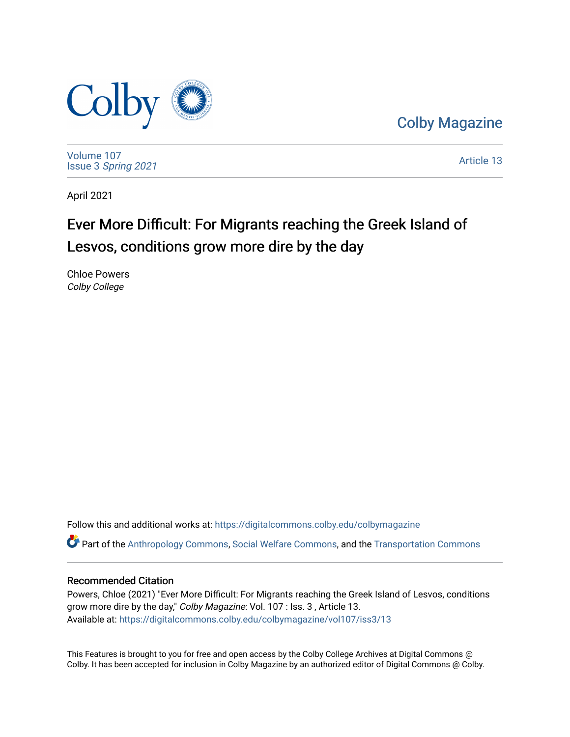

[Colby Magazine](https://digitalcommons.colby.edu/colbymagazine) 

[Volume 107](https://digitalcommons.colby.edu/colbymagazine/vol107) Issue 3 [Spring 2021](https://digitalcommons.colby.edu/colbymagazine/vol107/iss3) 

[Article 13](https://digitalcommons.colby.edu/colbymagazine/vol107/iss3/13) 

April 2021

## Ever More Difficult: For Migrants reaching the Greek Island of Lesvos, conditions grow more dire by the day

Chloe Powers Colby College

Follow this and additional works at: [https://digitalcommons.colby.edu/colbymagazine](https://digitalcommons.colby.edu/colbymagazine?utm_source=digitalcommons.colby.edu%2Fcolbymagazine%2Fvol107%2Fiss3%2F13&utm_medium=PDF&utm_campaign=PDFCoverPages)

Part of the [Anthropology Commons](http://network.bepress.com/hgg/discipline/318?utm_source=digitalcommons.colby.edu%2Fcolbymagazine%2Fvol107%2Fiss3%2F13&utm_medium=PDF&utm_campaign=PDFCoverPages), [Social Welfare Commons](http://network.bepress.com/hgg/discipline/401?utm_source=digitalcommons.colby.edu%2Fcolbymagazine%2Fvol107%2Fiss3%2F13&utm_medium=PDF&utm_campaign=PDFCoverPages), and the [Transportation Commons](http://network.bepress.com/hgg/discipline/1068?utm_source=digitalcommons.colby.edu%2Fcolbymagazine%2Fvol107%2Fiss3%2F13&utm_medium=PDF&utm_campaign=PDFCoverPages)

## Recommended Citation

Powers, Chloe (2021) "Ever More Difficult: For Migrants reaching the Greek Island of Lesvos, conditions grow more dire by the day," Colby Magazine: Vol. 107 : Iss. 3 , Article 13. Available at: [https://digitalcommons.colby.edu/colbymagazine/vol107/iss3/13](https://digitalcommons.colby.edu/colbymagazine/vol107/iss3/13?utm_source=digitalcommons.colby.edu%2Fcolbymagazine%2Fvol107%2Fiss3%2F13&utm_medium=PDF&utm_campaign=PDFCoverPages)

This Features is brought to you for free and open access by the Colby College Archives at Digital Commons @ Colby. It has been accepted for inclusion in Colby Magazine by an authorized editor of Digital Commons @ Colby.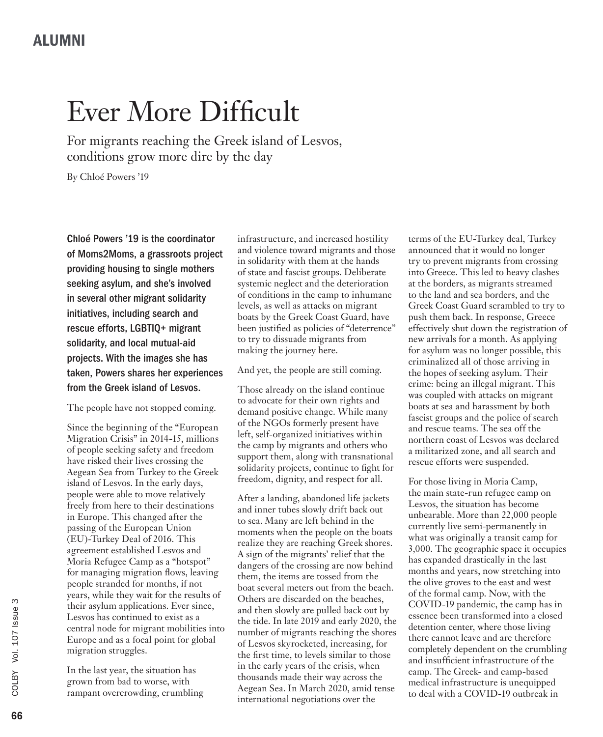## Ever More Difficult

For migrants reaching the Greek island of Lesvos, conditions grow more dire by the day

By Chloé Powers '19

Chloé Powers '19 is the coordinator of Moms2Moms, a grassroots project providing housing to single mothers seeking asylum, and she's involved in several other migrant solidarity initiatives, including search and rescue efforts, LGBTIQ+ migrant solidarity, and local mutual-aid projects. With the images she has taken, Powers shares her experiences from the Greek island of Lesvos.

The people have not stopped coming.

Since the beginning of the "European Migration Crisis" in 2014-15, millions of people seeking safety and freedom have risked their lives crossing the Aegean Sea from Turkey to the Greek island of Lesvos. In the early days, people were able to move relatively freely from here to their destinations in Europe. This changed after the passing of the European Union (EU)-Turkey Deal of 2016. This agreement established Lesvos and Moria Refugee Camp as a "hotspot" for managing migration flows, leaving people stranded for months, if not years, while they wait for the results of their asylum applications. Ever since, Lesvos has continued to exist as a central node for migrant mobilities into Europe and as a focal point for global migration struggles.

In the last year, the situation has grown from bad to worse, with rampant overcrowding, crumbling infrastructure, and increased hostility and violence toward migrants and those in solidarity with them at the hands of state and fascist groups. Deliberate systemic neglect and the deterioration of conditions in the camp to inhumane levels, as well as attacks on migrant boats by the Greek Coast Guard, have been justified as policies of "deterrence" to try to dissuade migrants from making the journey here.

And yet, the people are still coming.

Those already on the island continue to advocate for their own rights and demand positive change. While many of the NGOs formerly present have left, self-organized initiatives within the camp by migrants and others who support them, along with transnational solidarity projects, continue to fight for freedom, dignity, and respect for all.

After a landing, abandoned life jackets and inner tubes slowly drift back out to sea. Many are left behind in the moments when the people on the boats realize they are reaching Greek shores. A sign of the migrants' relief that the dangers of the crossing are now behind them, the items are tossed from the boat several meters out from the beach. Others are discarded on the beaches, and then slowly are pulled back out by the tide. In late 2019 and early 2020, the number of migrants reaching the shores of Lesvos skyrocketed, increasing, for the first time, to levels similar to those in the early years of the crisis, when thousands made their way across the Aegean Sea. In March 2020, amid tense international negotiations over the

terms of the EU-Turkey deal, Turkey announced that it would no longer try to prevent migrants from crossing into Greece. This led to heavy clashes at the borders, as migrants streamed to the land and sea borders, and the Greek Coast Guard scrambled to try to push them back. In response, Greece effectively shut down the registration of new arrivals for a month. As applying for asylum was no longer possible, this criminalized all of those arriving in the hopes of seeking asylum. Their crime: being an illegal migrant. This was coupled with attacks on migrant boats at sea and harassment by both fascist groups and the police of search and rescue teams. The sea off the northern coast of Lesvos was declared a militarized zone, and all search and rescue efforts were suspended.

For those living in Moria Camp, the main state-run refugee camp on Lesvos, the situation has become unbearable. More than 22,000 people currently live semi-permanently in what was originally a transit camp for 3,000. The geographic space it occupies has expanded drastically in the last months and years, now stretching into the olive groves to the east and west of the formal camp. Now, with the COVID-19 pandemic, the camp has in essence been transformed into a closed detention center, where those living there cannot leave and are therefore completely dependent on the crumbling and insufficient infrastructure of the camp. The Greek- and camp-based medical infrastructure is unequipped to deal with a COVID-19 outbreak in

COLBY

Vol. 107 Issue 3

Vol. 107 Issue 3